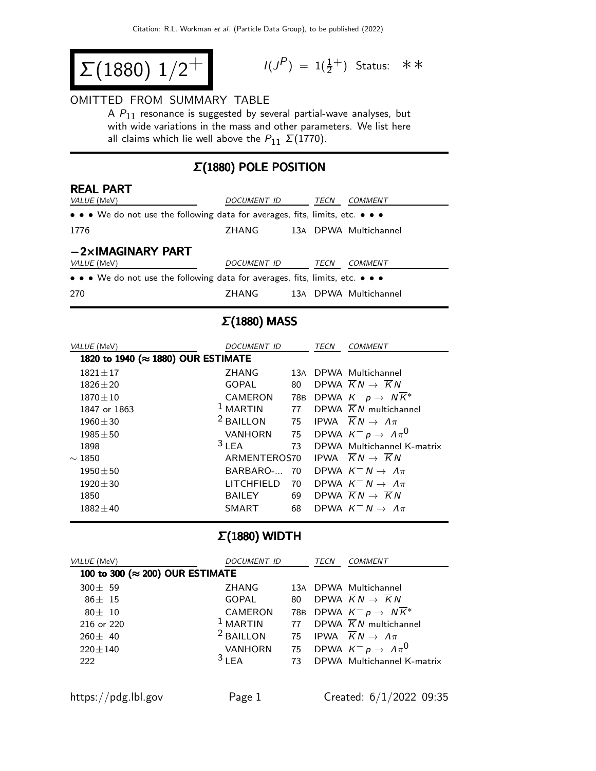$$
\Sigma(1880) 1/2^+
$$

$$
I(J^P) = 1(\frac{1}{2}^+) \quad \text{Status:} \quad \text{*} \cdot \text{*}
$$

#### OMITTED FROM SUMMARY TABLE

A  $P_{11}$  resonance is suggested by several partial-wave analyses, but with wide variations in the mass and other parameters. We list here all claims which lie well above the  $P_{11} \Sigma (1770)$ .

### Σ(1880) POLE POSITION

| <b>REAL PART</b><br>VALUE (MeV)                                                                                       | DOCUMENT ID |  | TECN | COMMENT               |  |  |
|-----------------------------------------------------------------------------------------------------------------------|-------------|--|------|-----------------------|--|--|
| $\bullet \bullet \bullet$ We do not use the following data for averages, fits, limits, etc. $\bullet \bullet \bullet$ |             |  |      |                       |  |  |
| 1776                                                                                                                  | ZHANG       |  |      | 13A DPWA Multichannel |  |  |
| $-2\times$ IMAGINARY PART                                                                                             |             |  |      |                       |  |  |
| VALUE (MeV)                                                                                                           | DOCUMENT ID |  | TECN | COMMENT               |  |  |
| • • • We do not use the following data for averages, fits, limits, etc. • • •                                         |             |  |      |                       |  |  |
| 270                                                                                                                   | ZHANG       |  |      | 13A DPWA Multichannel |  |  |

## Σ(1880) MASS

| VALUE (MeV)                        | <i>DOCUMENT ID</i>   |     | TECN | <i>COMMENT</i>                                 |  |  |
|------------------------------------|----------------------|-----|------|------------------------------------------------|--|--|
| 1820 to 1940 (≈ 1880) OUR ESTIMATE |                      |     |      |                                                |  |  |
| $1821 \pm 17$                      | <b>7HANG</b>         |     |      | 13A DPWA Multichannel                          |  |  |
| $1826 + 20$                        | GOPAL                | 80  |      | DPWA $\overline{K}N \rightarrow \overline{K}N$ |  |  |
| $1870 \pm 10$                      | CAMERON              | 78B |      | DPWA $K^- p \rightarrow N K^*$                 |  |  |
| 1847 or 1863                       | $1$ MARTIN           | 77  |      | DPWA $\overline{K}N$ multichannel              |  |  |
| $1960 \pm 30$                      | <sup>2</sup> BAILLON | 75  |      | IPWA $\overline{K}N \rightarrow \Lambda \pi$   |  |  |
| $1985 + 50$                        | <b>VANHORN</b>       | 75  |      | DPWA $K^- p \to \Lambda \pi^0$                 |  |  |
| 1898                               | $3$ LEA              | 73  |      | DPWA Multichannel K-matrix                     |  |  |
| $\sim$ 1850                        | ARMENTEROS70         |     |      | IPWA $\overline{K}N \rightarrow \overline{K}N$ |  |  |
| $1950 \pm 50$                      | BARBARO- 70          |     |      | DPWA $K^- N \rightarrow \Lambda \pi$           |  |  |
| $1920 \pm 30$                      | <b>LITCHFIFLD</b>    | 70  |      | DPWA $K^- N \rightarrow \Lambda \pi$           |  |  |
| 1850                               | <b>BAILEY</b>        | 69  |      | DPWA $\overline{K}N \rightarrow \overline{K}N$ |  |  |
| $1882 \pm 40$                      | <b>SMART</b>         | 68  |      | DPWA $K^- N \rightarrow \Lambda \pi$           |  |  |

#### Σ(1880) WIDTH

| VALUE (MeV)                     | <i>DOCUMENT ID</i>   |    | <b>TECN</b> | COMMENT                                         |  |  |
|---------------------------------|----------------------|----|-------------|-------------------------------------------------|--|--|
| 100 to 300 (≈ 200) OUR ESTIMATE |                      |    |             |                                                 |  |  |
| $300 + 59$                      | 7HANG                |    |             | 13A DPWA Multichannel                           |  |  |
| $86 + 15$                       | <b>GOPAL</b>         | 80 |             | DPWA $\overline{K}N \rightarrow \overline{K}N$  |  |  |
| $80 + 10$                       | CAMERON              |    |             | 78B DPWA $K^- p \rightarrow N \overline{K}^*$   |  |  |
| 216 or 220                      | $1$ MARTIN           |    |             | 77 DPWA $\overline{K}N$ multichannel            |  |  |
| $260 + 40$                      | <sup>2</sup> BAILLON |    |             | 75 IPWA $\overline{K}N \rightarrow \Lambda \pi$ |  |  |
| $220 + 140$                     | <b>VANHORN</b>       | 75 |             | DPWA $K^- p \to \Lambda \pi^0$                  |  |  |
| 222                             | 31EA                 | 73 |             | DPWA Multichannel K-matrix                      |  |  |
|                                 |                      |    |             |                                                 |  |  |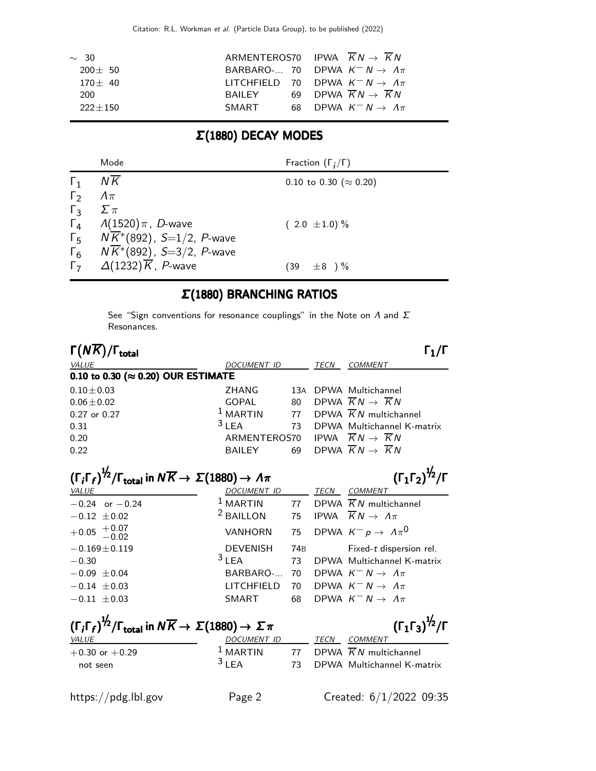| $\sim$ 30   |        | ARMENTEROS70 IPWA $KN \rightarrow KN$              |
|-------------|--------|----------------------------------------------------|
| $200 + 50$  |        | BARBARO- 70 DPWA $K^- N \rightarrow \Lambda \pi$   |
| $170 + 40$  |        | LITCHFIELD 70 DPWA $K^- N \rightarrow \Lambda \pi$ |
| 200         | BAILEY | 69 DPWA $KN \rightarrow KN$                        |
| $222 + 150$ | SMART  | 68 DPWA $K^- N \to \Lambda \pi$                    |

# Σ(1880) DECAY MODES

|            | Mode                                              | Fraction $(\Gamma_i/\Gamma)$   |
|------------|---------------------------------------------------|--------------------------------|
| $\Gamma_1$ | NK                                                | 0.10 to 0.30 ( $\approx$ 0.20) |
| $\Gamma_2$ | $\Lambda \pi$                                     |                                |
| $\Gamma_3$ | $\Sigma \pi$                                      |                                |
|            | $\Gamma_4$ /(1520) $\pi$ , <i>D</i> -wave         | $(2.0 \pm 1.0)\%$              |
|            | $\Gamma_5$ $N\overline{K}^*(892)$ , S=1/2, P-wave |                                |
| $\Gamma_6$ | $N\overline{K}$ *(892), S=3/2, P-wave             |                                |
| $\Gamma$   | $\Delta(1232)\overline{K}$ , P-wave               | $\pm 8$ )%<br>(39)             |

### Σ(1880) BRANCHING RATIOS

See "Sign conventions for resonance couplings" in the Note on  $\Lambda$  and  $\Sigma$ Resonances.

| $\Gamma(N\overline{K})/\Gamma_{\rm total}$                                                                                                                                       |                      |                 |      | $\Gamma_1/\Gamma$                              |  |
|----------------------------------------------------------------------------------------------------------------------------------------------------------------------------------|----------------------|-----------------|------|------------------------------------------------|--|
| VALUE                                                                                                                                                                            | <b>DOCUMENT ID</b>   |                 | TECN | <b>COMMENT</b>                                 |  |
| 0.10 to 0.30 ( $\approx$ 0.20) OUR ESTIMATE                                                                                                                                      |                      |                 |      |                                                |  |
| $0.10 + 0.03$                                                                                                                                                                    | ZHANG                | 13A             |      | DPWA Multichannel                              |  |
| $0.06 \pm 0.02$                                                                                                                                                                  | <b>GOPAL</b>         | 80              |      | DPWA $\overline{K}N \rightarrow \overline{K}N$ |  |
| 0.27 or 0.27                                                                                                                                                                     | $1$ MARTIN           | 77              |      | DPWA $\overline{K}N$ multichannel              |  |
| 0.31                                                                                                                                                                             | 3LEA                 | 73              |      | DPWA Multichannel K-matrix                     |  |
| 0.20                                                                                                                                                                             | ARMENTEROS70         |                 |      | IPWA $\overline{K}N \rightarrow \overline{K}N$ |  |
| 0.22                                                                                                                                                                             | <b>BAILEY</b>        | 69              |      | DPWA $\overline{K}N \rightarrow \overline{K}N$ |  |
|                                                                                                                                                                                  |                      |                 |      |                                                |  |
| $(\Gamma_i \Gamma_f)^{1/2}/\Gamma_{\text{total}}$ in $N \overline{K} \rightarrow \Sigma (1880) \rightarrow \Lambda \pi$                                                          |                      |                 |      | $(\Gamma_1 \Gamma_2)^{\frac{1}{2}} / \Gamma$   |  |
| <b>VALUE</b>                                                                                                                                                                     | <b>DOCUMENT ID</b>   |                 | TECN | <b>COMMENT</b>                                 |  |
| $-0.24$ or $-0.24$                                                                                                                                                               | $1$ MARTIN           | 77              |      | DPWA $\overline{K}N$ multichannel              |  |
| $-0.12 \pm 0.02$                                                                                                                                                                 | <sup>2</sup> BAILLON | 75              |      | IPWA $\overline{K}N \rightarrow \Lambda \pi$   |  |
| $+0.05 + 0.07$<br>-0.02                                                                                                                                                          | <b>VANHORN</b>       | 75              |      | DPWA $K^- p \rightarrow \Lambda \pi^0$         |  |
| $-0.169 \pm 0.119$                                                                                                                                                               | <b>DEVENISH</b>      | 74 <sub>B</sub> |      | Fixed-t dispersion rel.                        |  |
| $-0.30$                                                                                                                                                                          | 3LEA                 | 73              |      | DPWA Multichannel K-matrix                     |  |
| $-0.09 + 0.04$                                                                                                                                                                   | BARBARO-             | 70              |      | DPWA $K^- N \rightarrow \Lambda \pi$           |  |
| $-0.14 \pm 0.03$                                                                                                                                                                 | LITCHFIELD           | 70              |      | DPWA $K^- N \rightarrow \Lambda \pi$           |  |
| $-0.11 \pm 0.03$                                                                                                                                                                 | <b>SMART</b>         | 68              |      | DPWA $K^- N \rightarrow \Lambda \pi$           |  |
| $(\Gamma_1 \Gamma_3)^{\frac{1}{2}} / \Gamma$<br>$(\Gamma_i \Gamma_f)^{\frac{1}{2}} / \Gamma_{\text{total}}$ in $N \overline{K} \rightarrow \Sigma (1880) \rightarrow \Sigma \pi$ |                      |                 |      |                                                |  |
| <b>VALUE</b>                                                                                                                                                                     | DOCUMENT ID          |                 | TECN | <b>COMMENT</b>                                 |  |
| $+0.30$ or $+0.29$                                                                                                                                                               | $1$ MARTIN           | 77              |      | DPWA $\overline{K}N$ multichannel              |  |
| not seen                                                                                                                                                                         | 3LEA                 | 73              |      | DPWA Multichannel K-matrix                     |  |
|                                                                                                                                                                                  |                      |                 |      |                                                |  |

https://pdg.lbl.gov Page 2 Created: 6/1/2022 09:35